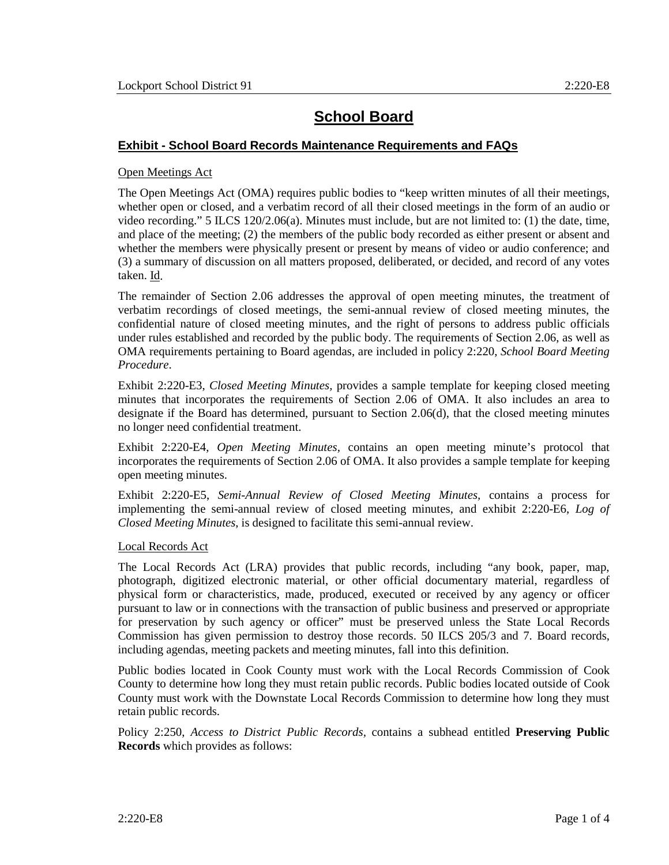# **School Board**

### **Exhibit - School Board Records Maintenance Requirements and FAQs**

#### Open Meetings Act

The Open Meetings Act (OMA) requires public bodies to "keep written minutes of all their meetings, whether open or closed, and a verbatim record of all their closed meetings in the form of an audio or video recording." 5 ILCS 120/2.06(a). Minutes must include, but are not limited to: (1) the date, time, and place of the meeting; (2) the members of the public body recorded as either present or absent and whether the members were physically present or present by means of video or audio conference; and (3) a summary of discussion on all matters proposed, deliberated, or decided, and record of any votes taken. Id.

The remainder of Section 2.06 addresses the approval of open meeting minutes, the treatment of verbatim recordings of closed meetings, the semi-annual review of closed meeting minutes, the confidential nature of closed meeting minutes, and the right of persons to address public officials under rules established and recorded by the public body. The requirements of Section 2.06, as well as OMA requirements pertaining to Board agendas, are included in policy 2:220, *School Board Meeting Procedure*.

Exhibit 2:220-E3, *Closed Meeting Minutes,* provides a sample template for keeping closed meeting minutes that incorporates the requirements of Section 2.06 of OMA. It also includes an area to designate if the Board has determined, pursuant to Section 2.06(d), that the closed meeting minutes no longer need confidential treatment.

Exhibit 2:220-E4, *Open Meeting Minutes,* contains an open meeting minute's protocol that incorporates the requirements of Section 2.06 of OMA. It also provides a sample template for keeping open meeting minutes.

Exhibit 2:220-E5, *Semi-Annual Review of Closed Meeting Minutes,* contains a process for implementing the semi-annual review of closed meeting minutes, and exhibit 2:220-E6, *Log of Closed Meeting Minutes*, is designed to facilitate this semi-annual review.

#### Local Records Act

The Local Records Act (LRA) provides that public records, including "any book, paper, map, photograph, digitized electronic material, or other official documentary material, regardless of physical form or characteristics, made, produced, executed or received by any agency or officer pursuant to law or in connections with the transaction of public business and preserved or appropriate for preservation by such agency or officer" must be preserved unless the State Local Records Commission has given permission to destroy those records. 50 ILCS 205/3 and 7. Board records, including agendas, meeting packets and meeting minutes, fall into this definition.

Public bodies located in Cook County must work with the Local Records Commission of Cook County to determine how long they must retain public records. Public bodies located outside of Cook County must work with the Downstate Local Records Commission to determine how long they must retain public records.

Policy 2:250, *Access to District Public Records,* contains a subhead entitled **Preserving Public Records** which provides as follows: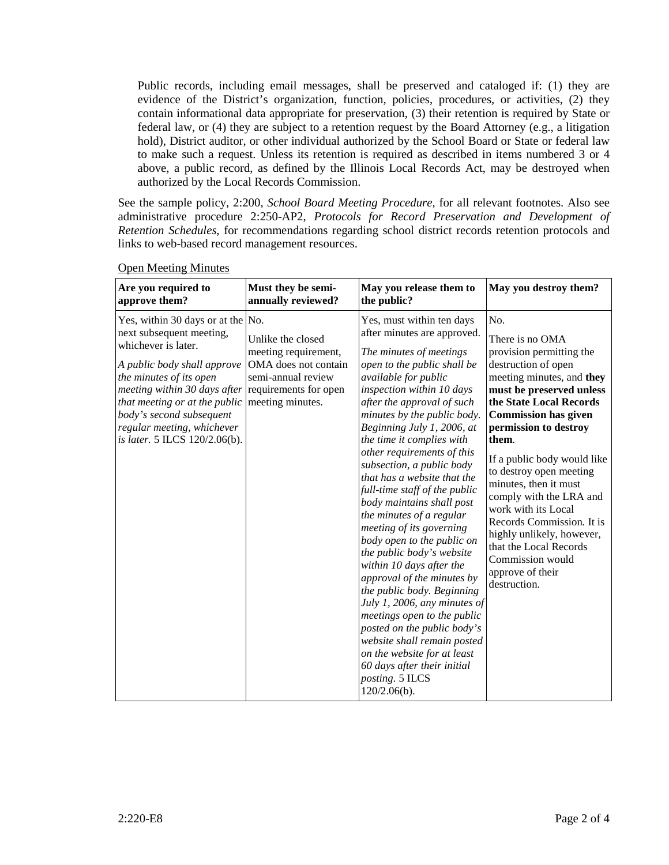Public records, including email messages, shall be preserved and cataloged if: (1) they are evidence of the District's organization, function, policies, procedures, or activities, (2) they contain informational data appropriate for preservation, (3) their retention is required by State or federal law, or (4) they are subject to a retention request by the Board Attorney (e.g., a litigation hold), District auditor, or other individual authorized by the School Board or State or federal law to make such a request. Unless its retention is required as described in items numbered 3 or 4 above, a public record, as defined by the Illinois Local Records Act, may be destroyed when authorized by the Local Records Commission.

See the sample policy, 2:200, *School Board Meeting Procedure,* for all relevant footnotes. Also see administrative procedure 2:250-AP2, *Protocols for Record Preservation and Development of Retention Schedules,* for recommendations regarding school district records retention protocols and links to web-based record management resources.

| Are you required to                                                                                                                                                                                                                                                                                        | Must they be semi-                                                                                                                   | May you release them to                                                                                                                                                                                                                                                                                                                                                                                                                                                                                                                                                                                                                                                                                                                                                                                                                                                                             | May you destroy them?                                                                                                                                                                                                                                                                                                                                                                                                                                                                                           |
|------------------------------------------------------------------------------------------------------------------------------------------------------------------------------------------------------------------------------------------------------------------------------------------------------------|--------------------------------------------------------------------------------------------------------------------------------------|-----------------------------------------------------------------------------------------------------------------------------------------------------------------------------------------------------------------------------------------------------------------------------------------------------------------------------------------------------------------------------------------------------------------------------------------------------------------------------------------------------------------------------------------------------------------------------------------------------------------------------------------------------------------------------------------------------------------------------------------------------------------------------------------------------------------------------------------------------------------------------------------------------|-----------------------------------------------------------------------------------------------------------------------------------------------------------------------------------------------------------------------------------------------------------------------------------------------------------------------------------------------------------------------------------------------------------------------------------------------------------------------------------------------------------------|
| approve them?                                                                                                                                                                                                                                                                                              | annually reviewed?                                                                                                                   | the public?                                                                                                                                                                                                                                                                                                                                                                                                                                                                                                                                                                                                                                                                                                                                                                                                                                                                                         |                                                                                                                                                                                                                                                                                                                                                                                                                                                                                                                 |
| Yes, within 30 days or at the No.<br>next subsequent meeting,<br>whichever is later.<br>A public body shall approve<br>the minutes of its open<br>meeting within 30 days after<br>that meeting or at the public<br>body's second subsequent<br>regular meeting, whichever<br>is later. 5 ILCS 120/2.06(b). | Unlike the closed<br>meeting requirement,<br>OMA does not contain<br>semi-annual review<br>requirements for open<br>meeting minutes. | Yes, must within ten days<br>after minutes are approved.<br>The minutes of meetings<br>open to the public shall be<br>available for public<br>inspection within 10 days<br>after the approval of such<br>minutes by the public body.<br>Beginning July 1, 2006, at<br>the time it complies with<br>other requirements of this<br>subsection, a public body<br>that has a website that the<br>full-time staff of the public<br>body maintains shall post<br>the minutes of a regular<br>meeting of its governing<br>body open to the public on<br>the public body's website<br>within 10 days after the<br>approval of the minutes by<br>the public body. Beginning<br>July 1, 2006, any minutes of<br>meetings open to the public<br>posted on the public body's<br>website shall remain posted<br>on the website for at least<br>60 days after their initial<br>posting. 5 ILCS<br>$120/2.06(b)$ . | No.<br>There is no OMA<br>provision permitting the<br>destruction of open<br>meeting minutes, and they<br>must be preserved unless<br>the State Local Records<br><b>Commission has given</b><br>permission to destroy<br>them.<br>If a public body would like<br>to destroy open meeting<br>minutes, then it must<br>comply with the LRA and<br>work with its Local<br>Records Commission. It is<br>highly unlikely, however,<br>that the Local Records<br>Commission would<br>approve of their<br>destruction. |

Open Meeting Minutes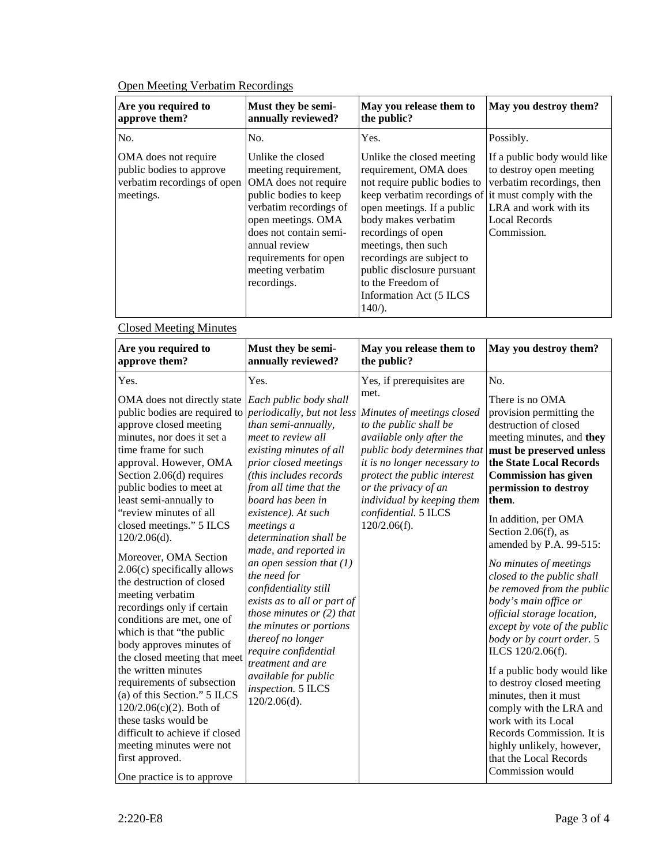## Open Meeting Verbatim Recordings

| Are you required to<br>approve them?                                                         | Must they be semi-<br>annually reviewed?                                                                                                                                                                                                          | May you release them to<br>the public?                                                                                                                                                                                                                                                                                                                               | May you destroy them?                                                                                                                               |
|----------------------------------------------------------------------------------------------|---------------------------------------------------------------------------------------------------------------------------------------------------------------------------------------------------------------------------------------------------|----------------------------------------------------------------------------------------------------------------------------------------------------------------------------------------------------------------------------------------------------------------------------------------------------------------------------------------------------------------------|-----------------------------------------------------------------------------------------------------------------------------------------------------|
| No.                                                                                          | No.                                                                                                                                                                                                                                               | Yes.                                                                                                                                                                                                                                                                                                                                                                 | Possibly.                                                                                                                                           |
| OMA does not require<br>public bodies to approve<br>verbatim recordings of open<br>meetings. | Unlike the closed<br>meeting requirement,<br>OMA does not require<br>public bodies to keep<br>verbatim recordings of<br>open meetings. OMA<br>does not contain semi-<br>annual review<br>requirements for open<br>meeting verbatim<br>recordings. | Unlike the closed meeting<br>requirement, OMA does<br>not require public bodies to<br>keep verbatim recordings of it must comply with the<br>open meetings. If a public<br>body makes verbatim<br>recordings of open<br>meetings, then such<br>recordings are subject to<br>public disclosure pursuant<br>to the Freedom of<br>Information Act (5 ILCS)<br>$140/$ ). | If a public body would like<br>to destroy open meeting<br>verbatim recordings, then<br>LRA and work with its<br><b>Local Records</b><br>Commission. |

# Closed Meeting Minutes

| Yes.<br>No.<br>Yes, if prerequisites are<br>Yes.<br>met.<br>There is no OMA<br>OMA does not directly state <i>Each public body shall</i><br>public bodies are required to <i>periodically</i> , but not less<br>provision permitting the<br>Minutes of meetings closed<br>destruction of closed<br>approve closed meeting<br>than semi-annually,<br>to the public shall be<br>minutes, nor does it set a<br>meet to review all<br>available only after the<br>time frame for such<br>existing minutes of all<br>public body determines that<br>the State Local Records<br>approval. However, OMA<br>it is no longer necessary to<br>prior closed meetings<br>(this includes records<br><b>Commission has given</b><br>Section $2.06(d)$ requires<br>protect the public interest<br>public bodies to meet at<br>from all time that the<br>or the privacy of an<br>permission to destroy<br>least semi-annually to<br>board has been in<br>individual by keeping them<br>them.<br>"review minutes of all<br>confidential. 5 ILCS<br>existence). At such<br>In addition, per OMA<br>closed meetings." 5 ILCS<br>120/2.06(f).<br>meetings a<br>Section 2.06(f), as<br>$120/2.06(d)$ .<br>determination shall be<br>amended by P.A. 99-515:<br>made, and reported in<br>Moreover, OMA Section<br>an open session that $(1)$<br>No minutes of meetings<br>$2.06(c)$ specifically allows<br>the need for<br>closed to the public shall<br>the destruction of closed<br>confidentiality still<br>meeting verbatim | Are you required to<br>approve them? | Must they be semi-<br>annually reviewed? | May you release them to<br>the public? | May you destroy them?                                                                                                                                                                                                               |
|-----------------------------------------------------------------------------------------------------------------------------------------------------------------------------------------------------------------------------------------------------------------------------------------------------------------------------------------------------------------------------------------------------------------------------------------------------------------------------------------------------------------------------------------------------------------------------------------------------------------------------------------------------------------------------------------------------------------------------------------------------------------------------------------------------------------------------------------------------------------------------------------------------------------------------------------------------------------------------------------------------------------------------------------------------------------------------------------------------------------------------------------------------------------------------------------------------------------------------------------------------------------------------------------------------------------------------------------------------------------------------------------------------------------------------------------------------------------------------------------------------------|--------------------------------------|------------------------------------------|----------------------------------------|-------------------------------------------------------------------------------------------------------------------------------------------------------------------------------------------------------------------------------------|
| those minutes or $(2)$ that<br>official storage location,<br>conditions are met, one of<br>the minutes or portions<br>which is that "the public<br>thereof no longer<br>body or by court order. 5<br>body approves minutes of<br>require confidential<br>ILCS 120/2.06(f).<br>the closed meeting that meet<br>treatment and are<br>the written minutes<br>available for public<br>requirements of subsection<br>to destroy closed meeting<br>inspection. 5 ILCS<br>(a) of this Section." 5 ILCS<br>minutes, then it must<br>$120/2.06(d)$ .<br>$120/2.06(c)(2)$ . Both of<br>these tasks would be<br>work with its Local<br>difficult to achieve if closed<br>meeting minutes were not<br>highly unlikely, however,<br>first approved.<br>that the Local Records<br>Commission would<br>One practice is to approve                                                                                                                                                                                                                                                                                                                                                                                                                                                                                                                                                                                                                                                                                        | recordings only if certain           | exists as to all or part of              |                                        | meeting minutes, and they<br>must be preserved unless<br>be removed from the public<br>body's main office or<br>except by vote of the public<br>If a public body would like<br>comply with the LRA and<br>Records Commission. It is |